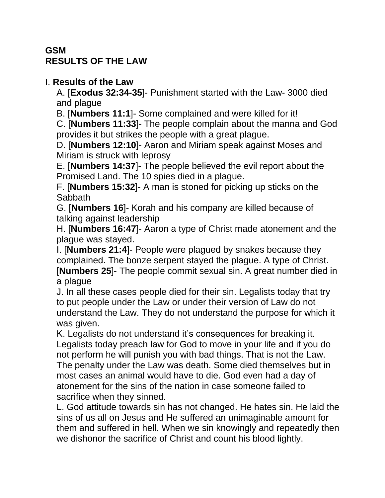## **GSM RESULTS OF THE LAW**

## I. **Results of the Law**

A. [**Exodus 32:34-35**]- Punishment started with the Law- 3000 died and plague

B. [**Numbers 11:1**]- Some complained and were killed for it!

C. [**Numbers 11:33**]- The people complain about the manna and God provides it but strikes the people with a great plague.

D. [**Numbers 12:10**]- Aaron and Miriam speak against Moses and Miriam is struck with leprosy

E. [**Numbers 14:37**]- The people believed the evil report about the Promised Land. The 10 spies died in a plague.

F. [**Numbers 15:32**]- A man is stoned for picking up sticks on the **Sabbath** 

G. [**Numbers 16**]- Korah and his company are killed because of talking against leadership

H. [**Numbers 16:47**]- Aaron a type of Christ made atonement and the plague was stayed.

I. [**Numbers 21:4**]- People were plagued by snakes because they complained. The bonze serpent stayed the plague. A type of Christ. [**Numbers 25**]- The people commit sexual sin. A great number died in a plague

J. In all these cases people died for their sin. Legalists today that try to put people under the Law or under their version of Law do not understand the Law. They do not understand the purpose for which it was given.

K. Legalists do not understand it's consequences for breaking it. Legalists today preach law for God to move in your life and if you do not perform he will punish you with bad things. That is not the Law. The penalty under the Law was death. Some died themselves but in most cases an animal would have to die. God even had a day of atonement for the sins of the nation in case someone failed to sacrifice when they sinned.

L. God attitude towards sin has not changed. He hates sin. He laid the sins of us all on Jesus and He suffered an unimaginable amount for them and suffered in hell. When we sin knowingly and repeatedly then we dishonor the sacrifice of Christ and count his blood lightly.